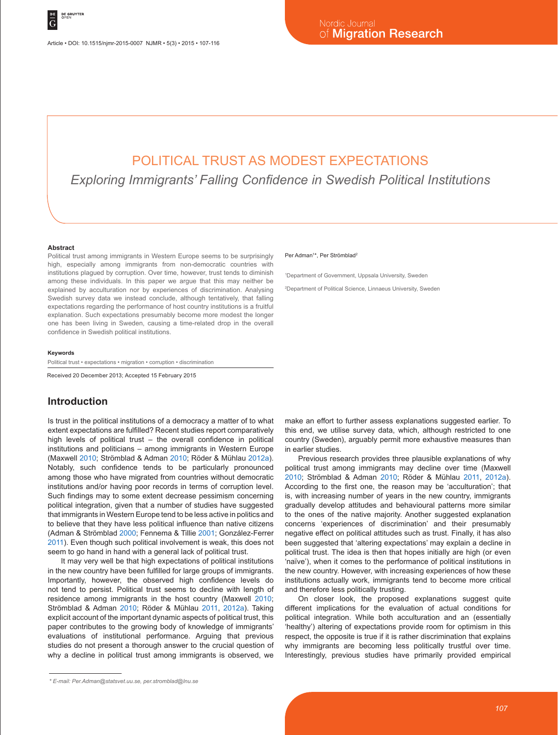# POLITICAL TRUST AS MODEST EXPECTATIONS

*Exploring Immigrants' Falling Confidence in Swedish Political Institutions*

#### **Abstract**

Political trust among immigrants in Western Europe seems to be surprisingly high, especially among immigrants from non-democratic countries with institutions plagued by corruption. Over time, however, trust tends to diminish among these individuals. In this paper we argue that this may neither be explained by acculturation nor by experiences of discrimination. Analysing Swedish survey data we instead conclude, although tentatively, that falling expectations regarding the performance of host country institutions is a fruitful explanation. Such expectations presumably become more modest the longer one has been living in Sweden, causing a time-related drop in the overall confidence in Swedish political institutions.

#### **Keywords**

Political trust • expectations • migration • corruption • discrimination

Received 20 December 2013; Accepted 15 February 2015

#### **Introduction**

Is trust in the political institutions of a democracy a matter of to what extent expectations are fulfilled? Recent studies report comparatively high levels of political trust – the overall confidence in political institutions and politicians – among immigrants in Western Europe (Maxwell 2010; Strömblad & Adman 2010; Röder & Mühlau 2012a). Notably, such confidence tends to be particularly pronounced among those who have migrated from countries without democratic institutions and/or having poor records in terms of corruption level. Such findings may to some extent decrease pessimism concerning political integration, given that a number of studies have suggested that immigrants in Western Europe tend to be less active in politics and to believe that they have less political influence than native citizens (Adman & Strömblad 2000; Fennema & Tillie 2001; González-Ferrer 2011). Even though such political involvement is weak, this does not seem to go hand in hand with a general lack of political trust.

It may very well be that high expectations of political institutions in the new country have been fulfilled for large groups of immigrants. Importantly, however, the observed high confidence levels do not tend to persist. Political trust seems to decline with length of residence among immigrants in the host country (Maxwell 2010; Strömblad & Adman 2010; Röder & Mühlau 2011, 2012a). Taking explicit account of the important dynamic aspects of political trust, this paper contributes to the growing body of knowledge of immigrants' evaluations of institutional performance. Arguing that previous studies do not present a thorough answer to the crucial question of why a decline in political trust among immigrants is observed, we

#### Per Adman<sup>1\*</sup>, Per Strömblad<sup>2</sup>

1 Department of Government, Uppsala University, Sweden

2 Department of Political Science, Linnaeus University, Sweden

make an effort to further assess explanations suggested earlier. To this end, we utilise survey data, which, although restricted to one country (Sweden), arguably permit more exhaustive measures than in earlier studies.

Previous research provides three plausible explanations of why political trust among immigrants may decline over time (Maxwell 2010; Strömblad & Adman 2010; Röder & Mühlau 2011, 2012a). According to the first one, the reason may be 'acculturation'; that is, with increasing number of years in the new country, immigrants gradually develop attitudes and behavioural patterns more similar to the ones of the native majority. Another suggested explanation concerns 'experiences of discrimination' and their presumably negative effect on political attitudes such as trust. Finally, it has also been suggested that 'altering expectations' may explain a decline in political trust. The idea is then that hopes initially are high (or even 'naïve'), when it comes to the performance of political institutions in the new country. However, with increasing experiences of how these institutions actually work, immigrants tend to become more critical and therefore less politically trusting.

On closer look, the proposed explanations suggest quite different implications for the evaluation of actual conditions for political integration. While both acculturation and an (essentially 'healthy') altering of expectations provide room for optimism in this respect, the opposite is true if it is rather discrimination that explains why immigrants are becoming less politically trustful over time. Interestingly, previous studies have primarily provided empirical

*<sup>\*</sup> E-mail: Per.Adman@statsvet.uu.se, per.stromblad@lnu.se*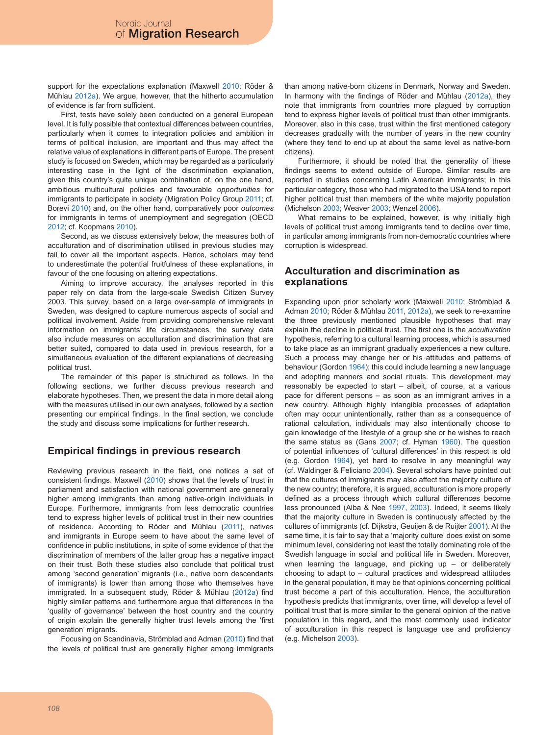support for the expectations explanation (Maxwell 2010; Röder & Mühlau 2012a). We argue, however, that the hitherto accumulation of evidence is far from sufficient.

First, tests have solely been conducted on a general European level. It is fully possible that contextual differences between countries, particularly when it comes to integration policies and ambition in terms of political inclusion, are important and thus may affect the relative value of explanations in different parts of Europe. The present study is focused on Sweden, which may be regarded as a particularly interesting case in the light of the discrimination explanation, given this country's quite unique combination of, on the one hand, ambitious multicultural policies and favourable *opportunities* for immigrants to participate in society (Migration Policy Group 2011; cf. Borevi 2010) and, on the other hand, comparatively poor *outcomes* for immigrants in terms of unemployment and segregation (OECD 2012; cf. Koopmans 2010).

Second, as we discuss extensively below, the measures both of acculturation and of discrimination utilised in previous studies may fail to cover all the important aspects. Hence, scholars may tend to underestimate the potential fruitfulness of these explanations, in favour of the one focusing on altering expectations.

Aiming to improve accuracy, the analyses reported in this paper rely on data from the large-scale Swedish Citizen Survey 2003. This survey, based on a large over-sample of immigrants in Sweden, was designed to capture numerous aspects of social and political involvement. Aside from providing comprehensive relevant information on immigrants' life circumstances, the survey data also include measures on acculturation and discrimination that are better suited, compared to data used in previous research, for a simultaneous evaluation of the different explanations of decreasing political trust.

The remainder of this paper is structured as follows. In the following sections, we further discuss previous research and elaborate hypotheses. Then, we present the data in more detail along with the measures utilised in our own analyses, followed by a section presenting our empirical findings. In the final section, we conclude the study and discuss some implications for further research.

## **Empirical findings in previous research**

Reviewing previous research in the field, one notices a set of consistent findings. Maxwell (2010) shows that the levels of trust in parliament and satisfaction with national government are generally higher among immigrants than among native-origin individuals in Europe. Furthermore, immigrants from less democratic countries tend to express higher levels of political trust in their new countries of residence. According to Röder and Mühlau (2011), natives and immigrants in Europe seem to have about the same level of confidence in public institutions, in spite of some evidence of that the discrimination of members of the latter group has a negative impact on their trust. Both these studies also conclude that political trust among 'second generation' migrants (i.e., native born descendants of immigrants) is lower than among those who themselves have immigrated. In a subsequent study, Röder & Mühlau (2012a) find highly similar patterns and furthermore argue that differences in the 'quality of governance' between the host country and the country of origin explain the generally higher trust levels among the 'first generation' migrants.

Focusing on Scandinavia, Strömblad and Adman (2010) find that the levels of political trust are generally higher among immigrants

than among native-born citizens in Denmark, Norway and Sweden. In harmony with the findings of Röder and Mühlau (2012a), they note that immigrants from countries more plagued by corruption tend to express higher levels of political trust than other immigrants. Moreover, also in this case, trust within the first mentioned category decreases gradually with the number of years in the new country (where they tend to end up at about the same level as native-born citizens).

Furthermore, it should be noted that the generality of these findings seems to extend outside of Europe. Similar results are reported in studies concerning Latin American immigrants; in this particular category, those who had migrated to the USA tend to report higher political trust than members of the white majority population (Michelson 2003; Weaver 2003; Wenzel 2006).

What remains to be explained, however, is why initially high levels of political trust among immigrants tend to decline over time, in particular among immigrants from non-democratic countries where corruption is widespread.

## **Acculturation and discrimination as explanations**

Expanding upon prior scholarly work (Maxwell 2010; Strömblad & Adman 2010; Röder & Mühlau 2011, 2012a), we seek to re-examine the three previously mentioned plausible hypotheses that may explain the decline in political trust. The first one is the *acculturation*  hypothesis, referring to a cultural learning process, which is assumed to take place as an immigrant gradually experiences a new culture. Such a process may change her or his attitudes and patterns of behaviour (Gordon 1964); this could include learning a new language and adopting manners and social rituals. This development may reasonably be expected to start – albeit, of course, at a various pace for different persons – as soon as an immigrant arrives in a new country. Although highly intangible processes of adaptation often may occur unintentionally, rather than as a consequence of rational calculation, individuals may also intentionally choose to gain knowledge of the lifestyle of a group she or he wishes to reach the same status as (Gans 2007; cf. Hyman 1960). The question of potential influences of 'cultural differences' in this respect is old (e.g. Gordon 1964), yet hard to resolve in any meaningful way (cf. Waldinger & Feliciano 2004). Several scholars have pointed out that the cultures of immigrants may also affect the majority culture of the new country; therefore, it is argued, acculturation is more properly defined as a process through which cultural differences become less pronounced (Alba & Nee 1997, 2003). Indeed, it seems likely that the majority culture in Sweden is continuously affected by the cultures of immigrants (cf. Dijkstra, Geuijen & de Ruijter 2001). At the same time, it is fair to say that a 'majority culture' does exist on some minimum level, considering not least the totally dominating role of the Swedish language in social and political life in Sweden. Moreover, when learning the language, and picking up  $-$  or deliberately choosing to adapt to – cultural practices and widespread attitudes in the general population, it may be that opinions concerning political trust become a part of this acculturation. Hence, the acculturation hypothesis predicts that immigrants, over time, will develop a level of political trust that is more similar to the general opinion of the native population in this regard, and the most commonly used indicator of acculturation in this respect is language use and proficiency (e.g. Michelson 2003).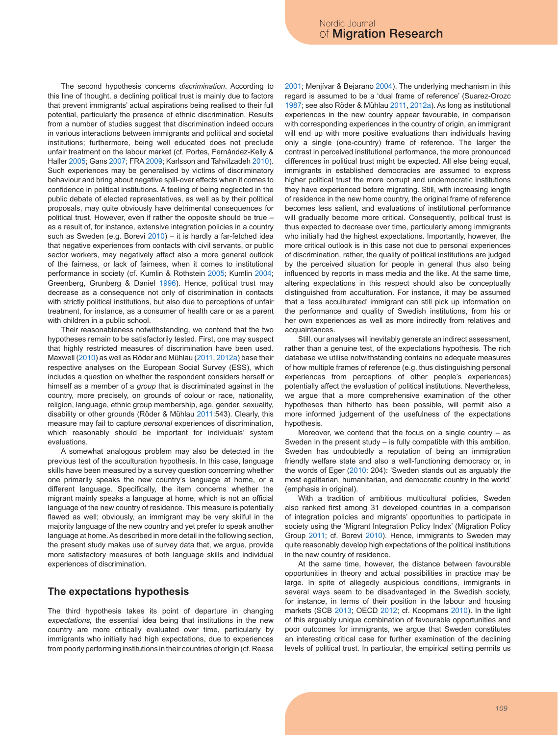The second hypothesis concerns *discrimination*. According to this line of thought, a declining political trust is mainly due to factors that prevent immigrants' actual aspirations being realised to their full potential, particularly the presence of ethnic discrimination. Results from a number of studies suggest that discrimination indeed occurs in various interactions between immigrants and political and societal institutions; furthermore, being well educated does not preclude unfair treatment on the labour market (cf. Portes, Fernández-Kelly & Haller 2005; Gans 2007; FRA 2009; Karlsson and Tahvilzadeh 2010). Such experiences may be generalised by victims of discriminatory behaviour and bring about negative spill-over effects when it comes to confidence in political institutions. A feeling of being neglected in the public debate of elected representatives, as well as by their political proposals, may quite obviously have detrimental consequences for political trust. However, even if rather the opposite should be true – as a result of, for instance, extensive integration policies in a country such as Sweden (e.g. Borevi 2010) – it is hardly a far-fetched idea that negative experiences from contacts with civil servants, or public sector workers, may negatively affect also a more general outlook of the fairness, or lack of fairness, when it comes to institutional performance in society (cf. Kumlin & Rothstein 2005; Kumlin 2004; Greenberg, Grunberg & Daniel 1996). Hence, political trust may decrease as a consequence not only of discrimination in contacts with strictly political institutions, but also due to perceptions of unfair treatment, for instance, as a consumer of health care or as a parent with children in a public school.

Their reasonableness notwithstanding, we contend that the two hypotheses remain to be satisfactorily tested. First, one may suspect that highly restricted measures of discrimination have been used. Maxwell (2010) as well as Röder and Mühlau (2011, 2012a) base their respective analyses on the European Social Survey (ESS), which includes a question on whether the respondent considers herself or himself as a member of a *group* that is discriminated against in the country, more precisely, on grounds of colour or race, nationality, religion, language, ethnic group membership, age, gender, sexuality, disability or other grounds (Röder & Mühlau 2011:543). Clearly, this measure may fail to capture *personal* experiences of discrimination, which reasonably should be important for individuals' system evaluations.

A somewhat analogous problem may also be detected in the previous test of the acculturation hypothesis. In this case, language skills have been measured by a survey question concerning whether one primarily speaks the new country's language at home, or a different language. Specifically, the item concerns whether the migrant mainly speaks a language at home, which is not an official language of the new country of residence. This measure is potentially flawed as well; obviously, an immigrant may be very skilful in the majority language of the new country and yet prefer to speak another language at home. As described in more detail in the following section, the present study makes use of survey data that, we argue, provide more satisfactory measures of both language skills and individual experiences of discrimination.

## **The expectations hypothesis**

The third hypothesis takes its point of departure in changing *expectations,* the essential idea being that institutions in the new country are more critically evaluated over time, particularly by immigrants who initially had high expectations, due to experiences from poorly performing institutions in their countries of origin (cf. Reese 2001; Menjívar & Bejarano 2004). The underlying mechanism in this regard is assumed to be a 'dual frame of reference' (Suarez-Orozc 1987; see also Röder & Mühlau 2011, 2012a). As long as institutional experiences in the new country appear favourable, in comparison with corresponding experiences in the country of origin, an immigrant will end up with more positive evaluations than individuals having only a single (one-country) frame of reference. The larger the contrast in perceived institutional performance, the more pronounced differences in political trust might be expected. All else being equal, immigrants in established democracies are assumed to express higher political trust the more corrupt and undemocratic institutions they have experienced before migrating. Still, with increasing length of residence in the new home country, the original frame of reference becomes less salient, and evaluations of institutional performance will gradually become more critical. Consequently, political trust is thus expected to decrease over time, particularly among immigrants who initially had the highest expectations. Importantly, however, the more critical outlook is in this case not due to personal experiences of discrimination, rather, the quality of political institutions are judged by the perceived situation for people in general thus also being influenced by reports in mass media and the like. At the same time, altering expectations in this respect should also be conceptually distinguished from acculturation. For instance, it may be assumed that a 'less acculturated' immigrant can still pick up information on the performance and quality of Swedish institutions, from his or her own experiences as well as more indirectly from relatives and acquaintances.

Still, our analyses will inevitably generate an indirect assessment, rather than a genuine test, of the expectations hypothesis. The rich database we utilise notwithstanding contains no adequate measures of how multiple frames of reference (e.g. thus distinguishing personal experiences from perceptions of other people's experiences) potentially affect the evaluation of political institutions. Nevertheless, we argue that a more comprehensive examination of the other hypotheses than hitherto has been possible, will permit also a more informed judgement of the usefulness of the expectations hypothesis.

Moreover, we contend that the focus on a single country – as Sweden in the present study – is fully compatible with this ambition. Sweden has undoubtedly a reputation of being an immigration friendly welfare state and also a well-functioning democracy or, in the words of Eger (2010: 204): 'Sweden stands out as arguably *the* most egalitarian, humanitarian, and democratic country in the world' (emphasis in original).

With a tradition of ambitious multicultural policies, Sweden also ranked first among 31 developed countries in a comparison of integration policies and migrants' opportunities to participate in society using the 'Migrant Integration Policy Index' (Migration Policy Group 2011; cf. Borevi 2010). Hence, immigrants to Sweden may quite reasonably develop high expectations of the political institutions in the new country of residence.

At the same time, however, the distance between favourable opportunities in theory and actual possibilities in practice may be large. In spite of allegedly auspicious conditions, immigrants in several ways seem to be disadvantaged in the Swedish society, for instance, in terms of their position in the labour and housing markets (SCB 2013; OECD 2012; cf. Koopmans 2010). In the light of this arguably unique combination of favourable opportunities and poor outcomes for immigrants, we argue that Sweden constitutes an interesting critical case for further examination of the declining levels of political trust. In particular, the empirical setting permits us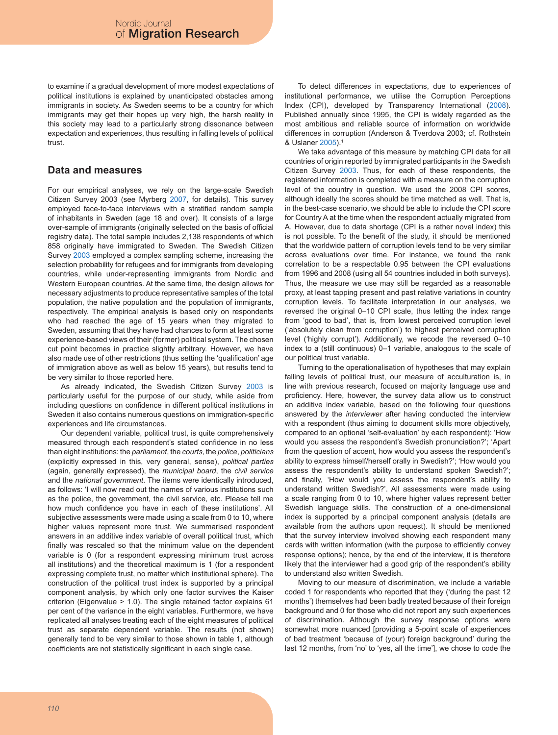to examine if a gradual development of more modest expectations of political institutions is explained by unanticipated obstacles among immigrants in society. As Sweden seems to be a country for which immigrants may get their hopes up very high, the harsh reality in this society may lead to a particularly strong dissonance between expectation and experiences, thus resulting in falling levels of political trust.

### **Data and measures**

For our empirical analyses, we rely on the large-scale Swedish Citizen Survey 2003 (see Myrberg 2007, for details). This survey employed face-to-face interviews with a stratified random sample of inhabitants in Sweden (age 18 and over). It consists of a large over-sample of immigrants (originally selected on the basis of official registry data). The total sample includes 2,138 respondents of which 858 originally have immigrated to Sweden. The Swedish Citizen Survey 2003 employed a complex sampling scheme, increasing the selection probability for refugees and for immigrants from developing countries, while under-representing immigrants from Nordic and Western European countries. At the same time, the design allows for necessary adjustments to produce representative samples of the total population, the native population and the population of immigrants, respectively. The empirical analysis is based only on respondents who had reached the age of 15 years when they migrated to Sweden, assuming that they have had chances to form at least some experience-based views of their (former) political system. The chosen cut point becomes in practice slightly arbitrary. However, we have also made use of other restrictions (thus setting the 'qualification' age of immigration above as well as below 15 years), but results tend to be very similar to those reported here.

As already indicated, the Swedish Citizen Survey 2003 is particularly useful for the purpose of our study, while aside from including questions on confidence in different political institutions in Sweden it also contains numerous questions on immigration-specific experiences and life circumstances.

Our dependent variable, political trust, is quite comprehensively measured through each respondent's stated confidence in no less than eight institutions: the *parliament*, the *courts*, the *police*, *politicians* (explicitly expressed in this, very general, sense), *political parties* (again, generally expressed), the *municipal board*, the *civil service* and the *national government*. The items were identically introduced, as follows: 'I will now read out the names of various institutions such as the police, the government, the civil service, etc. Please tell me how much confidence you have in each of these institutions'. All subjective assessments were made using a scale from 0 to 10, where higher values represent more trust. We summarised respondent answers in an additive index variable of overall political trust, which finally was rescaled so that the minimum value on the dependent variable is 0 (for a respondent expressing minimum trust across all institutions) and the theoretical maximum is 1 (for a respondent expressing complete trust, no matter which institutional sphere). The construction of the political trust index is supported by a principal component analysis, by which only one factor survives the Kaiser criterion (Eigenvalue > 1.0). The single retained factor explains 61 per cent of the variance in the eight variables. Furthermore, we have replicated all analyses treating each of the eight measures of political trust as separate dependent variable. The results (not shown) generally tend to be very similar to those shown in table 1, although coefficients are not statistically significant in each single case.

To detect differences in expectations, due to experiences of institutional performance, we utilise the Corruption Perceptions Index (CPI), developed by Transparency International (2008). Published annually since 1995, the CPI is widely regarded as the most ambitious and reliable source of information on worldwide differences in corruption (Anderson & Tverdova 2003; cf. Rothstein & Uslaner 2005).1

We take advantage of this measure by matching CPI data for all countries of origin reported by immigrated participants in the Swedish Citizen Survey 2003. Thus, for each of these respondents, the registered information is completed with a measure on the corruption level of the country in question. We used the 2008 CPI scores, although ideally the scores should be time matched as well. That is, in the best-case scenario, we should be able to include the CPI score for Country A at the time when the respondent actually migrated from A. However, due to data shortage (CPI is a rather novel index) this is not possible. To the benefit of the study, it should be mentioned that the worldwide pattern of corruption levels tend to be very similar across evaluations over time. For instance, we found the rank correlation to be a respectable 0.95 between the CPI evaluations from 1996 and 2008 (using all 54 countries included in both surveys). Thus, the measure we use may still be regarded as a reasonable proxy, at least tapping present and past relative variations in country corruption levels. To facilitate interpretation in our analyses, we reversed the original 0–10 CPI scale, thus letting the index range from 'good to bad', that is, from lowest perceived corruption level ('absolutely clean from corruption') to highest perceived corruption level ('highly corrupt'). Additionally, we recode the reversed 0–10 index to a (still continuous) 0–1 variable, analogous to the scale of our political trust variable.

Turning to the operationalisation of hypotheses that may explain falling levels of political trust, our measure of acculturation is, in line with previous research, focused on majority language use and proficiency. Here, however, the survey data allow us to construct an additive index variable, based on the following four questions answered by the *interviewer* after having conducted the interview with a respondent (thus aiming to document skills more objectively, compared to an optional 'self-evaluation' by each respondent): 'How would you assess the respondent's Swedish pronunciation?'; 'Apart from the question of accent, how would you assess the respondent's ability to express himself/herself orally in Swedish?'; 'How would you assess the respondent's ability to understand spoken Swedish?'; and finally, 'How would you assess the respondent's ability to understand written Swedish?'. All assessments were made using a scale ranging from 0 to 10, where higher values represent better Swedish language skills. The construction of a one-dimensional index is supported by a principal component analysis (details are available from the authors upon request). It should be mentioned that the survey interview involved showing each respondent many cards with written information (with the purpose to efficiently convey response options); hence, by the end of the interview, it is therefore likely that the interviewer had a good grip of the respondent's ability to understand also written Swedish.

Moving to our measure of discrimination, we include a variable coded 1 for respondents who reported that they ('during the past 12 months') themselves had been badly treated because of their foreign background and 0 for those who did not report any such experiences of discrimination. Although the survey response options were somewhat more nuanced [providing a 5-point scale of experiences of bad treatment 'because of (your) foreign background' during the last 12 months, from 'no' to 'yes, all the time'], we chose to code the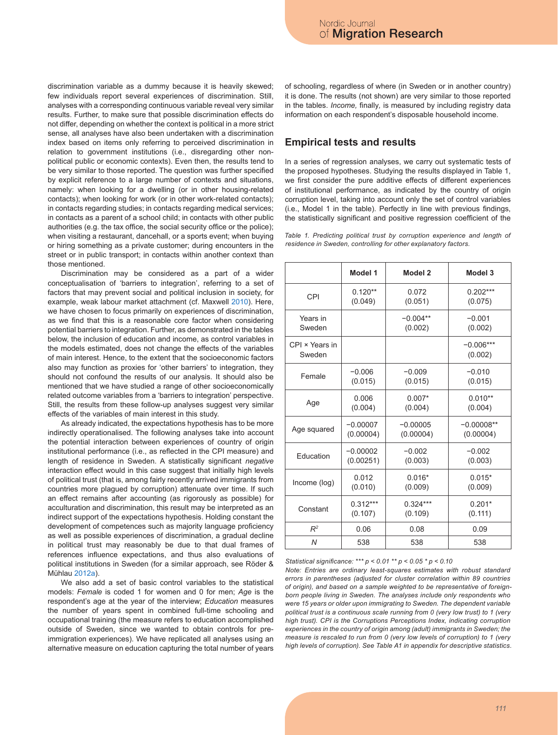discrimination variable as a dummy because it is heavily skewed; few individuals report several experiences of discrimination. Still, analyses with a corresponding continuous variable reveal very similar results. Further, to make sure that possible discrimination effects do not differ, depending on whether the context is political in a more strict sense, all analyses have also been undertaken with a discrimination index based on items only referring to perceived discrimination in relation to government institutions (i.e., disregarding other nonpolitical public or economic contexts). Even then, the results tend to be very similar to those reported. The question was further specified by explicit reference to a large number of contexts and situations, namely: when looking for a dwelling (or in other housing-related contacts); when looking for work (or in other work-related contacts); in contacts regarding studies; in contacts regarding medical services; in contacts as a parent of a school child; in contacts with other public authorities (e.g. the tax office, the social security office or the police); when visiting a restaurant, dancehall, or a sports event; when buying or hiring something as a private customer; during encounters in the street or in public transport; in contacts within another context than those mentioned.

Discrimination may be considered as a part of a wider conceptualisation of 'barriers to integration', referring to a set of factors that may prevent social and political inclusion in society, for example, weak labour market attachment (cf. Maxwell 2010). Here, we have chosen to focus primarily on experiences of discrimination, as we find that this is a reasonable core factor when considering potential barriers to integration. Further, as demonstrated in the tables below, the inclusion of education and income, as control variables in the models estimated, does not change the effects of the variables of main interest. Hence, to the extent that the socioeconomic factors also may function as proxies for 'other barriers' to integration, they should not confound the results of our analysis. It should also be mentioned that we have studied a range of other socioeconomically related outcome variables from a 'barriers to integration' perspective. Still, the results from these follow-up analyses suggest very similar effects of the variables of main interest in this study.

As already indicated, the expectations hypothesis has to be more indirectly operationalised. The following analyses take into account the potential interaction between experiences of country of origin institutional performance (i.e., as reflected in the CPI measure) and length of residence in Sweden. A statistically significant *negative* interaction effect would in this case suggest that initially high levels of political trust (that is, among fairly recently arrived immigrants from countries more plagued by corruption) attenuate over time. If such an effect remains after accounting (as rigorously as possible) for acculturation and discrimination, this result may be interpreted as an indirect support of the expectations hypothesis. Holding constant the development of competences such as majority language proficiency as well as possible experiences of discrimination, a gradual decline in political trust may reasonably be due to that dual frames of references influence expectations, and thus also evaluations of political institutions in Sweden (for a similar approach, see Röder & Mühlau 2012a).

We also add a set of basic control variables to the statistical models: *Female* is coded 1 for women and 0 for men; *Age* is the respondent's age at the year of the interview; *Education* measures the number of years spent in combined full-time schooling and occupational training (the measure refers to education accomplished outside of Sweden, since we wanted to obtain controls for preimmigration experiences). We have replicated all analyses using an alternative measure on education capturing the total number of years of schooling, regardless of where (in Sweden or in another country) it is done. The results (not shown) are very similar to those reported in the tables. *Income,* finally*,* is measured by including registry data information on each respondent's disposable household income.

#### **Empirical tests and results**

In a series of regression analyses, we carry out systematic tests of the proposed hypotheses. Studying the results displayed in Table 1, we first consider the pure additive effects of different experiences of institutional performance, as indicated by the country of origin corruption level, taking into account only the set of control variables (i.e., Model 1 in the table). Perfectly in line with previous findings, the statistically significant and positive regression coefficient of the

*Table 1. Predicting political trust by corruption experience and length of residence in Sweden, controlling for other explanatory factors.*

|                          | Model 1    | Model <sub>2</sub> | Model 3                |  |
|--------------------------|------------|--------------------|------------------------|--|
| <b>CPI</b>               | $0.120**$  | 0.072              | $0.202***$             |  |
|                          | (0.049)    | (0.051)            | (0.075)                |  |
| Years in                 |            | $-0.004**$         | $-0.001$               |  |
| Sweden                   |            | (0.002)            | (0.002)                |  |
| CPI × Years in<br>Sweden |            |                    | $-0.006***$<br>(0.002) |  |
| Female                   | $-0.006$   | $-0.009$           | $-0.010$               |  |
|                          | (0.015)    | (0.015)            | (0.015)                |  |
| Age                      | 0.006      | $0.007*$           | $0.010**$              |  |
|                          | (0.004)    | (0.004)            | (0.004)                |  |
| Age squared              | $-0.00007$ | $-0.00005$         | $-0.00008**$           |  |
|                          | (0.00004)  | (0.00004)          | (0.00004)              |  |
| Education                | $-0.00002$ | $-0.002$           | $-0.002$               |  |
|                          | (0.00251)  | (0.003)            | (0.003)                |  |
| Income (log)             | 0.012      | $0.016*$           | $0.015*$               |  |
|                          | (0.010)    | (0.009)            | (0.009)                |  |
| Constant                 | $0.312***$ | $0.324***$         | $0.201*$               |  |
|                          | (0.107)    | (0.109)            | (0.111)                |  |
| $R^2$                    | 0.06       | 0.08               | 0.09                   |  |
| $\overline{N}$           | 538        | 538                | 538                    |  |

*Statistical significance: \*\*\* p < 0.01 \*\* p < 0.05 \* p < 0.10*

*Note: Entries are ordinary least-squares estimates with robust standard errors in parentheses (adjusted for cluster correlation within 89 countries of origin), and based on a sample weighted to be representative of foreignborn people living in Sweden. The analyses include only respondents who were 15 years or older upon immigrating to Sweden. The dependent variable political trust is a continuous scale running from 0 (very low trust) to 1 (very high trust). CPI is the Corruptions Perceptions Index, indicating corruption experiences in the country of origin among (adult) immigrants in Sweden; the measure is rescaled to run from 0 (very low levels of corruption) to 1 (very high levels of corruption). See Table A1 in appendix for descriptive statistics.*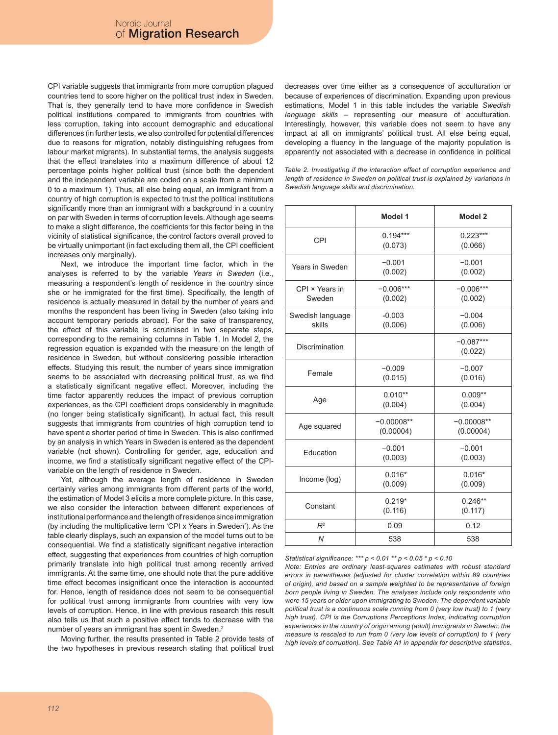CPI variable suggests that immigrants from more corruption plagued countries tend to score higher on the political trust index in Sweden. That is, they generally tend to have more confidence in Swedish political institutions compared to immigrants from countries with less corruption, taking into account demographic and educational differences (in further tests, we also controlled for potential differences due to reasons for migration, notably distinguishing refugees from labour market migrants). In substantial terms, the analysis suggests that the effect translates into a maximum difference of about 12 percentage points higher political trust (since both the dependent and the independent variable are coded on a scale from a minimum 0 to a maximum 1). Thus, all else being equal, an immigrant from a country of high corruption is expected to trust the political institutions significantly more than an immigrant with a background in a country on par with Sweden in terms of corruption levels. Although age seems to make a slight difference, the coefficients for this factor being in the vicinity of statistical significance, the control factors overall proved to be virtually unimportant (in fact excluding them all, the CPI coefficient increases only marginally).

Next, we introduce the important time factor, which in the analyses is referred to by the variable *Years in Sweden* (i.e., measuring a respondent's length of residence in the country since she or he immigrated for the first time). Specifically, the length of residence is actually measured in detail by the number of years and months the respondent has been living in Sweden (also taking into account temporary periods abroad). For the sake of transparency, the effect of this variable is scrutinised in two separate steps, corresponding to the remaining columns in Table 1. In Model 2, the regression equation is expanded with the measure on the length of residence in Sweden, but without considering possible interaction effects. Studying this result, the number of years since immigration seems to be associated with decreasing political trust, as we find a statistically significant negative effect. Moreover, including the time factor apparently reduces the impact of previous corruption experiences, as the CPI coefficient drops considerably in magnitude (no longer being statistically significant). In actual fact, this result suggests that immigrants from countries of high corruption tend to have spent a shorter period of time in Sweden. This is also confirmed by an analysis in which Years in Sweden is entered as the dependent variable (not shown). Controlling for gender, age, education and income, we find a statistically significant negative effect of the CPIvariable on the length of residence in Sweden.

Yet, although the average length of residence in Sweden certainly varies among immigrants from different parts of the world, the estimation of Model 3 elicits a more complete picture. In this case, we also consider the interaction between different experiences of institutional performance and the length of residence since immigration (by including the multiplicative term 'CPI x Years in Sweden'). As the table clearly displays, such an expansion of the model turns out to be consequential. We find a statistically significant negative interaction effect, suggesting that experiences from countries of high corruption primarily translate into high political trust among recently arrived immigrants. At the same time, one should note that the pure additive time effect becomes insignificant once the interaction is accounted for. Hence, length of residence does not seem to be consequential for political trust among immigrants from countries with very low levels of corruption. Hence, in line with previous research this result also tells us that such a positive effect tends to decrease with the number of years an immigrant has spent in Sweden.2

Moving further, the results presented in Table 2 provide tests of the two hypotheses in previous research stating that political trust decreases over time either as a consequence of acculturation or because of experiences of discrimination. Expanding upon previous estimations, Model 1 in this table includes the variable *Swedish language skills* – representing our measure of acculturation. Interestingly, however, this variable does not seem to have any impact at all on immigrants' political trust. All else being equal, developing a fluency in the language of the majority population is apparently not associated with a decrease in confidence in political

*Table 2. Investigating if the interaction effect of corruption experience and length of residence in Sweden on political trust is explained by variations in Swedish language skills and discrimination.*

|                            | Model 1                   | Model 2                   |  |
|----------------------------|---------------------------|---------------------------|--|
| CPI                        | $0.194***$<br>(0.073)     | $0.223***$<br>(0.066)     |  |
| Years in Sweden            | $-0.001$<br>(0.002)       | $-0.001$<br>(0.002)       |  |
| CPI × Years in<br>Sweden   | $-0.006***$<br>(0.002)    | $-0.006***$<br>(0.002)    |  |
| Swedish language<br>skills | $-0.003$<br>(0.006)       | $-0.004$<br>(0.006)       |  |
| Discrimination             |                           | $-0.087***$<br>(0.022)    |  |
| Female                     | $-0.009$<br>(0.015)       | $-0.007$<br>(0.016)       |  |
| Age                        | $0.010**$<br>(0.004)      | $0.009**$<br>(0.004)      |  |
| Age squared                | $-0.00008**$<br>(0.00004) | $-0.00008**$<br>(0.00004) |  |
| Education                  | $-0.001$<br>(0.003)       | $-0.001$<br>(0.003)       |  |
| Income (log)               | $0.016*$<br>(0.009)       | $0.016*$<br>(0.009)       |  |
| Constant                   | $0.219*$<br>(0.116)       |                           |  |
| $R^2$                      | 0.09                      | 0.12                      |  |
| N                          | 538                       | 538                       |  |

*Statistical significance: \*\*\* p < 0.01 \*\* p < 0.05 \* p < 0.10*

*Note: Entries are ordinary least-squares estimates with robust standard errors in parentheses (adjusted for cluster correlation within 89 countries of origin), and based on a sample weighted to be representative of foreign born people living in Sweden. The analyses include only respondents who were 15 years or older upon immigrating to Sweden. The dependent variable political trust is a continuous scale running from 0 (very low trust) to 1 (very high trust). CPI is the Corruptions Perceptions Index, indicating corruption experiences in the country of origin among (adult) immigrants in Sweden; the measure is rescaled to run from 0 (very low levels of corruption) to 1 (very high levels of corruption). See Table A1 in appendix for descriptive statistics.*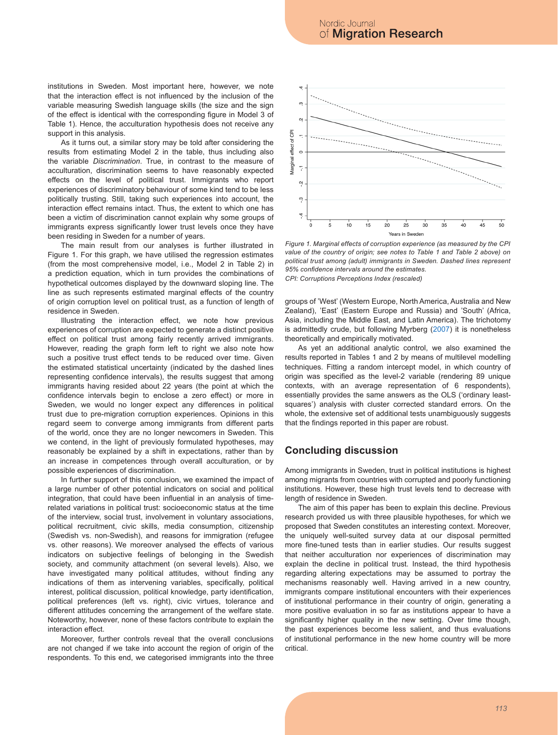institutions in Sweden. Most important here, however, we note that the interaction effect is not influenced by the inclusion of the variable measuring Swedish language skills (the size and the sign of the effect is identical with the corresponding figure in Model 3 of Table 1). Hence, the acculturation hypothesis does not receive any support in this analysis.

As it turns out, a similar story may be told after considering the results from estimating Model 2 in the table, thus including also the variable *Discrimination*. True, in contrast to the measure of acculturation, discrimination seems to have reasonably expected effects on the level of political trust. Immigrants who report experiences of discriminatory behaviour of some kind tend to be less politically trusting. Still, taking such experiences into account, the interaction effect remains intact. Thus, the extent to which one has been a victim of discrimination cannot explain why some groups of immigrants express significantly lower trust levels once they have been residing in Sweden for a number of years.

The main result from our analyses is further illustrated in Figure 1. For this graph, we have utilised the regression estimates (from the most comprehensive model, i.e., Model 2 in Table 2) in a prediction equation, which in turn provides the combinations of hypothetical outcomes displayed by the downward sloping line. The line as such represents estimated marginal effects of the country of origin corruption level on political trust, as a function of length of residence in Sweden.

Illustrating the interaction effect, we note how previous experiences of corruption are expected to generate a distinct positive effect on political trust among fairly recently arrived immigrants. However, reading the graph form left to right we also note how such a positive trust effect tends to be reduced over time. Given the estimated statistical uncertainty (indicated by the dashed lines representing confidence intervals), the results suggest that among immigrants having resided about 22 years (the point at which the confidence intervals begin to enclose a zero effect) or more in Sweden, we would no longer expect any differences in political trust due to pre-migration corruption experiences. Opinions in this regard seem to converge among immigrants from different parts of the world, once they are no longer newcomers in Sweden. This we contend, in the light of previously formulated hypotheses, may reasonably be explained by a shift in expectations, rather than by an increase in competences through overall acculturation, or by possible experiences of discrimination.

In further support of this conclusion, we examined the impact of a large number of other potential indicators on social and political integration, that could have been influential in an analysis of timerelated variations in political trust: socioeconomic status at the time of the interview, social trust, involvement in voluntary associations, political recruitment, civic skills, media consumption, citizenship (Swedish vs. non-Swedish), and reasons for immigration (refugee vs. other reasons). We moreover analysed the effects of various indicators on subjective feelings of belonging in the Swedish society, and community attachment (on several levels). Also, we have investigated many political attitudes, without finding any indications of them as intervening variables, specifically, political interest, political discussion, political knowledge, party identification, political preferences (left vs. right), civic virtues, tolerance and different attitudes concerning the arrangement of the welfare state. Noteworthy, however, none of these factors contribute to explain the interaction effect.

Moreover, further controls reveal that the overall conclusions are not changed if we take into account the region of origin of the respondents. To this end, we categorised immigrants into the three



*Figure 1. Marginal effects of corruption experience (as measured by the CPI value of the country of origin; see notes to Table 1 and Table 2 above) on political trust among (adult) immigrants in Sweden. Dashed lines represent 95% confidence intervals around the estimates.* 

*CPI: Corruptions Perceptions Index (rescaled)*

groups of 'West' (Western Europe, North America, Australia and New Zealand), 'East' (Eastern Europe and Russia) and 'South' (Africa, Asia, including the Middle East, and Latin America). The trichotomy is admittedly crude, but following Myrberg (2007) it is nonetheless theoretically and empirically motivated.

As yet an additional analytic control, we also examined the results reported in Tables 1 and 2 by means of multilevel modelling techniques. Fitting a random intercept model, in which country of origin was specified as the level-2 variable (rendering 89 unique contexts, with an average representation of 6 respondents), essentially provides the same answers as the OLS ('ordinary leastsquares') analysis with cluster corrected standard errors. On the whole, the extensive set of additional tests unambiguously suggests that the findings reported in this paper are robust.

## **Concluding discussion**

Among immigrants in Sweden, trust in political institutions is highest among migrants from countries with corrupted and poorly functioning institutions. However, these high trust levels tend to decrease with length of residence in Sweden.

The aim of this paper has been to explain this decline. Previous research provided us with three plausible hypotheses, for which we proposed that Sweden constitutes an interesting context. Moreover, the uniquely well-suited survey data at our disposal permitted more fine-tuned tests than in earlier studies. Our results suggest that neither acculturation nor experiences of discrimination may explain the decline in political trust. Instead, the third hypothesis regarding altering expectations may be assumed to portray the mechanisms reasonably well. Having arrived in a new country, immigrants compare institutional encounters with their experiences of institutional performance in their country of origin, generating a more positive evaluation in so far as institutions appear to have a significantly higher quality in the new setting. Over time though, the past experiences become less salient, and thus evaluations of institutional performance in the new home country will be more critical.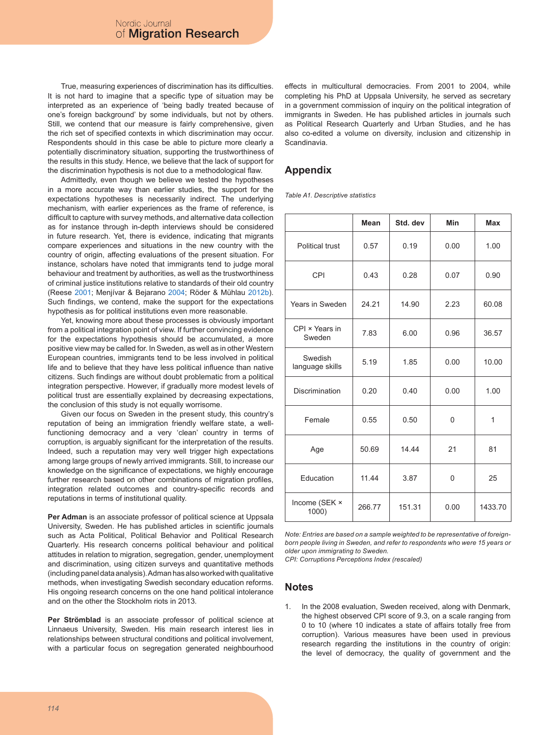True, measuring experiences of discrimination has its difficulties. It is not hard to imagine that a specific type of situation may be interpreted as an experience of 'being badly treated because of one's foreign background' by some individuals, but not by others. Still, we contend that our measure is fairly comprehensive, given the rich set of specified contexts in which discrimination may occur. Respondents should in this case be able to picture more clearly a potentially discriminatory situation, supporting the trustworthiness of the results in this study. Hence, we believe that the lack of support for the discrimination hypothesis is not due to a methodological flaw.

Admittedly, even though we believe we tested the hypotheses in a more accurate way than earlier studies, the support for the expectations hypotheses is necessarily indirect. The underlying mechanism, with earlier experiences as the frame of reference, is difficult to capture with survey methods, and alternative data collection as for instance through in-depth interviews should be considered in future research. Yet, there is evidence, indicating that migrants compare experiences and situations in the new country with the country of origin, affecting evaluations of the present situation. For instance, scholars have noted that immigrants tend to judge moral behaviour and treatment by authorities, as well as the trustworthiness of criminal justice institutions relative to standards of their old country (Reese 2001; Menjívar & Bejarano 2004; Röder & Mühlau 2012b). Such findings, we contend, make the support for the expectations hypothesis as for political institutions even more reasonable.

Yet, knowing more about these processes is obviously important from a political integration point of view. If further convincing evidence for the expectations hypothesis should be accumulated, a more positive view may be called for. In Sweden, as well as in other Western European countries, immigrants tend to be less involved in political life and to believe that they have less political influence than native citizens. Such findings are without doubt problematic from a political integration perspective. However, if gradually more modest levels of political trust are essentially explained by decreasing expectations, the conclusion of this study is not equally worrisome.

Given our focus on Sweden in the present study, this country's reputation of being an immigration friendly welfare state, a wellfunctioning democracy and a very 'clean' country in terms of corruption, is arguably significant for the interpretation of the results. Indeed, such a reputation may very well trigger high expectations among large groups of newly arrived immigrants. Still, to increase our knowledge on the significance of expectations, we highly encourage further research based on other combinations of migration profiles, integration related outcomes and country-specific records and reputations in terms of institutional quality.

**Per Adman** is an associate professor of political science at Uppsala University, Sweden. He has published articles in scientific journals such as Acta Political, Political Behavior and Political Research Quarterly. His research concerns political behaviour and political attitudes in relation to migration, segregation, gender, unemployment and discrimination, using citizen surveys and quantitative methods (including panel data analysis). Adman has also worked with qualitative methods, when investigating Swedish secondary education reforms. His ongoing research concerns on the one hand political intolerance and on the other the Stockholm riots in 2013.

**Per Strömblad** is an associate professor of political science at Linnaeus University, Sweden. His main research interest lies in relationships between structural conditions and political involvement, with a particular focus on segregation generated neighbourhood effects in multicultural democracies. From 2001 to 2004, while completing his PhD at Uppsala University, he served as secretary in a government commission of inquiry on the political integration of immigrants in Sweden. He has published articles in journals such as Political Research Quarterly and Urban Studies, and he has also co-edited a volume on diversity, inclusion and citizenship in Scandinavia.

#### **Appendix**

*Table A1. Descriptive statistics* 

|                            | Mean   | Std. dev | <b>Min</b> | <b>Max</b> |
|----------------------------|--------|----------|------------|------------|
| Political trust            | 0.57   | 0.19     | 0.00       | 1.00       |
| CPI                        | 0.43   | 0.28     | 0.07       | 0.90       |
| Years in Sweden            | 24.21  | 14.90    | 2.23       | 60.08      |
| CPI × Years in<br>Sweden   | 7.83   | 6.00     | 0.96       | 36.57      |
| Swedish<br>language skills | 5.19   | 1.85     | 0.00       | 10.00      |
| <b>Discrimination</b>      | 0.20   | 0.40     | 0.00       | 1.00       |
| Female                     | 0.55   | 0.50     | $\Omega$   | 1          |
| Age                        | 50.69  | 14.44    | 21         | 81         |
| Education                  | 11.44  | 3.87     | 0          | 25         |
| Income (SEK ×<br>$1000$ )  | 266.77 | 151.31   | 0.00       | 1433.70    |

*Note: Entries are based on a sample weighted to be representative of foreignborn people living in Sweden, and refer to respondents who were 15 years or older upon immigrating to Sweden.*

*CPI: Corruptions Perceptions Index (rescaled)*

#### **Notes**

1. In the 2008 evaluation, Sweden received, along with Denmark, the highest observed CPI score of 9.3, on a scale ranging from 0 to 10 (where 10 indicates a state of affairs totally free from corruption). Various measures have been used in previous research regarding the institutions in the country of origin: the level of democracy, the quality of government and the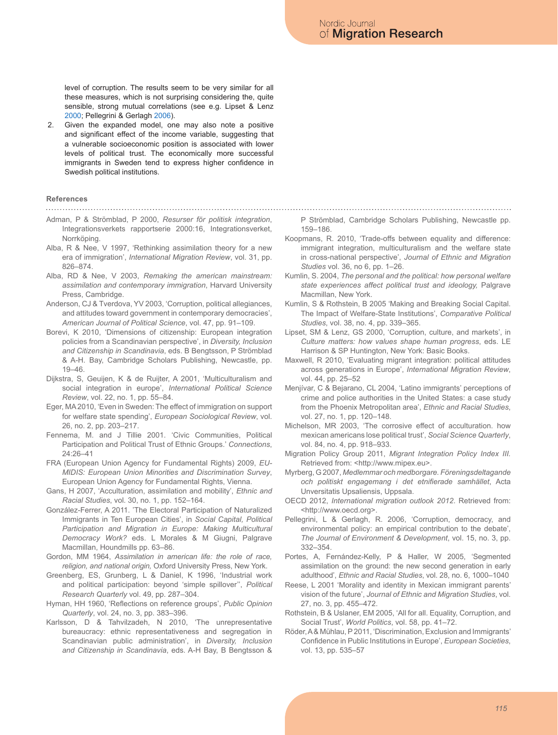level of corruption. The results seem to be very similar for all these measures, which is not surprising considering the, quite sensible, strong mutual correlations (see e.g. Lipset & Lenz 2000; Pellegrini & Gerlagh 2006).

2. Given the expanded model, one may also note a positive and significant effect of the income variable, suggesting that a vulnerable socioeconomic position is associated with lower levels of political trust. The economically more successful immigrants in Sweden tend to express higher confidence in Swedish political institutions.

#### **References**

- Adman, P & Strömblad, P 2000, *Resurser för politisk integration*, Integrationsverkets rapportserie 2000:16, Integrationsverket, Norrköping
- Alba, R & Nee, V 1997, 'Rethinking assimilation theory for a new era of immigration', *International Migration Review*, vol. 31, pp. 826–874.
- Alba, RD & Nee, V 2003, *Remaking the american mainstream: assimilation and contemporary immigration*, Harvard University Press, Cambridge.
- Anderson, CJ & Tverdova, YV 2003, 'Corruption, political allegiances, and attitudes toward government in contemporary democracies', *American Journal of Political Science*, vol. 47, pp. 91–109.
- Borevi, K 2010, 'Dimensions of citizenship: European integration policies from a Scandinavian perspective', in *Diversity, Inclusion and Citizenship in Scandinavia*, eds. B Bengtsson, P Strömblad & A-H. Bay, Cambridge Scholars Publishing, Newcastle, pp. 19–46.
- Dijkstra, S, Geuijen, K & de Ruijter, A 2001, 'Multiculturalism and social integration in europe', *International Political Science Review*, vol. 22, no. 1, pp. 55–84.
- Eger, MA 2010, 'Even in Sweden: The effect of immigration on support for welfare state spending', *European Sociological Review*, vol. 26, no. 2, pp. 203–217.
- Fennema, M. and J Tillie 2001. 'Civic Communities, Political Participation and Political Trust of Ethnic Groups.' *Connections*, 24:26–41
- FRA (European Union Agency for Fundamental Rights) 2009, *EU-MIDIS: European Union Minorities and Discrimination Survey*, European Union Agency for Fundamental Rights, Vienna.
- Gans, H 2007, 'Acculturation, assimilation and mobility', *Ethnic and Racial Studies*, vol. 30, no. 1, pp. 152–164.
- González-Ferrer, A 2011. 'The Electoral Participation of Naturalized Immigrants in Ten European Cities', in *Social Capital, Political Participation and Migration in Europe: Making Multicultural Democracy Work?* eds. L Morales & M Giugni, Palgrave Macmillan, Houndmills pp. 63–86.
- Gordon, MM 1964, *Assimilation in american life: the role of race, religion, and national origin,* Oxford University Press, New York.
- Greenberg, ES, Grunberg, L & Daniel, K 1996, 'Industrial work and political participation: beyond 'simple spillover'', *Political Research Quarterly* vol. 49, pp. 287–304.
- Hyman, HH 1960, 'Reflections on reference groups', *Public Opinion Quarterly*, vol. 24, no. 3, pp. 383–396.
- Karlsson, D & Tahvilzadeh, N 2010, 'The unrepresentative bureaucracy: ethnic representativeness and segregation in Scandinavian public administration', in *Diversity, Inclusion and Citizenship in Scandinavia*, eds. A-H Bay, B Bengtsson &

P Strömblad, Cambridge Scholars Publishing, Newcastle pp. 159–186.

- Koopmans, R. 2010, 'Trade-offs between equality and difference: immigrant integration, multiculturalism and the welfare state in cross-national perspective', *Journal of Ethnic and Migration Studies* vol. 36, no 6, pp. 1–26.
- Kumlin, S. 2004, *The personal and the political: how personal welfare state experiences affect political trust and ideology,* Palgrave Macmillan, New York.
- Kumlin, S & Rothstein, B 2005 'Making and Breaking Social Capital. The Impact of Welfare-State Institutions', *Comparative Political Studies*, vol. 38, no. 4, pp. 339–365.
- Lipset, SM & Lenz, GS 2000, 'Corruption, culture, and markets', in *Culture matters: how values shape human progress*, eds. LE Harrison & SP Huntington, New York: Basic Books.
- Maxwell, R 2010, 'Evaluating migrant integration: political attitudes across generations in Europe', *International Migration Review*, vol. 44, pp. 25–52
- Menjívar, C & Bejarano, CL 2004, 'Latino immigrants' perceptions of crime and police authorities in the United States: a case study from the Phoenix Metropolitan area', *Ethnic and Racial Studies*, vol. 27, no. 1, pp. 120–148.
- Michelson, MR 2003, 'The corrosive effect of acculturation. how mexican americans lose political trust', *Social Science Quarterly*, vol. 84, no. 4, pp. 918–933.
- Migration Policy Group 2011, *Migrant Integration Policy Index III.*  Retrieved from: <http://www.mipex.eu>.
- Myrberg, G 2007, *Medlemmar och medborgare. Föreningsdeltagande och politiskt engagemang i det etnifierade samhället*, Acta Unversitatis Upsaliensis, Uppsala.
- OECD 2012, *International migration outlook 2012*. Retrieved from: <http://www.oecd.org>.
- Pellegrini, L & Gerlagh, R. 2006, 'Corruption, democracy, and environmental policy: an empirical contribution to the debate', *The Journal of Environment & Development*, vol. 15, no. 3, pp. 332–354.
- Portes, A, Fernández-Kelly, P & Haller, W 2005, 'Segmented assimilation on the ground: the new second generation in early adulthood', *Ethnic and Racial Studies*, vol. 28, no. 6, 1000–1040
- Reese, L 2001 'Morality and identity in Mexican immigrant parents' vision of the future', *Journal of Ethnic and Migration Studies*, vol. 27, no. 3, pp. 455–472.
- Rothstein, B & Uslaner, EM 2005, 'All for all. Equality, Corruption, and Social Trust', *World Politics*, vol. 58, pp. 41–72.
- Röder, A & Mühlau, P 2011, 'Discrimination, Exclusion and Immigrants' Confidence in Public Institutions in Europe', *European Societies*, vol. 13, pp. 535–57